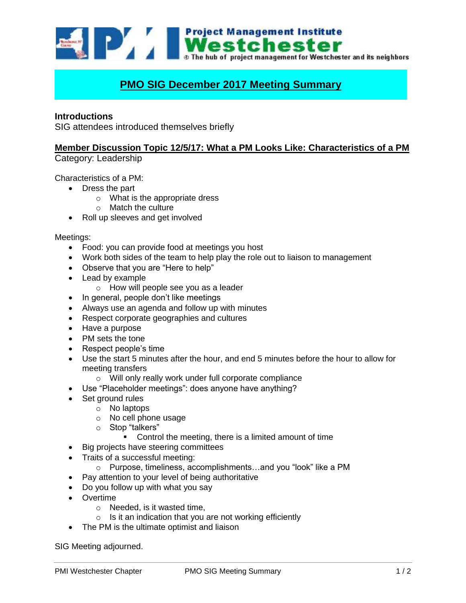

## **PMO SIG December 2017 Meeting Summary**

## **Introductions**

SIG attendees introduced themselves briefly

## **Member Discussion Topic 12/5/17: What a PM Looks Like: Characteristics of a PM**

Category: Leadership

Characteristics of a PM:

- Dress the part
	- o What is the appropriate dress
	- o Match the culture
- Roll up sleeves and get involved

Meetings:

- Food: you can provide food at meetings you host
- Work both sides of the team to help play the role out to liaison to management
- Observe that you are "Here to help"
- Lead by example
	- o How will people see you as a leader
- In general, people don't like meetings
- Always use an agenda and follow up with minutes
- Respect corporate geographies and cultures
- Have a purpose
- PM sets the tone
- Respect people's time
- Use the start 5 minutes after the hour, and end 5 minutes before the hour to allow for meeting transfers
	- o Will only really work under full corporate compliance
- Use "Placeholder meetings": does anyone have anything?
- Set ground rules
	- o No laptops
	- o No cell phone usage
	- o Stop "talkers"
		- Control the meeting, there is a limited amount of time
- Big projects have steering committees
- Traits of a successful meeting:
	- o Purpose, timeliness, accomplishments…and you "look" like a PM
- Pay attention to your level of being authoritative
- Do you follow up with what you say
- **•** Overtime
	- o Needed, is it wasted time,
	- $\circ$  Is it an indication that you are not working efficiently
- The PM is the ultimate optimist and liaison

SIG Meeting adjourned.